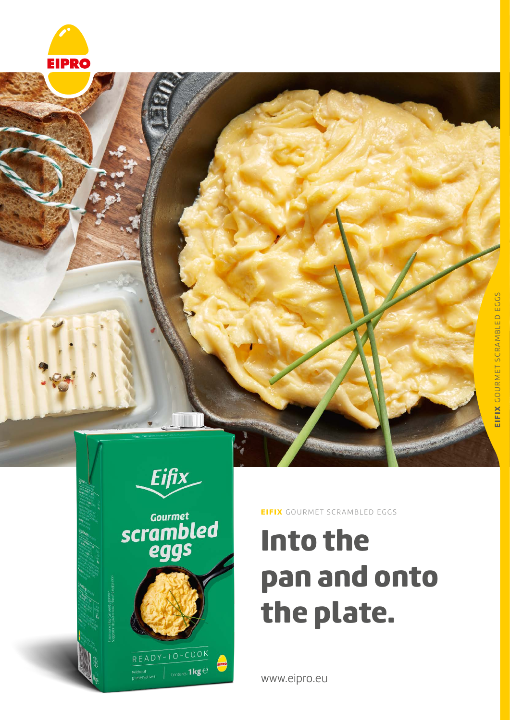





EIFIX GOURMET SCRAMBLED EGGS

# Into the pan and onto the plate.

www.eipro.eu